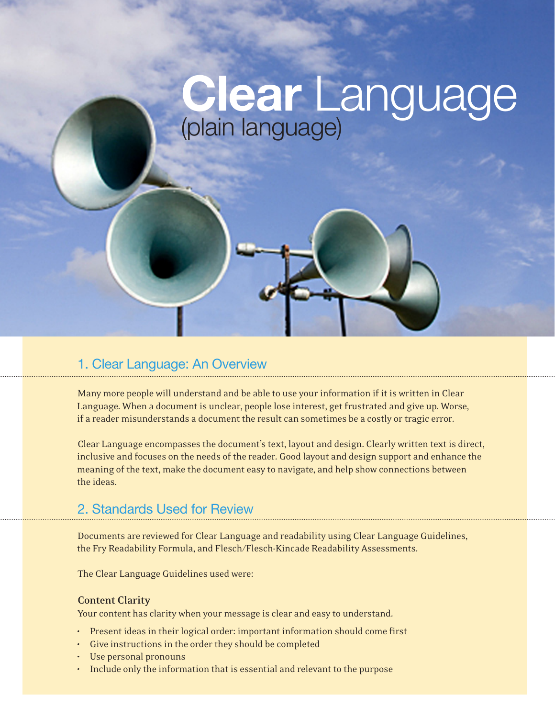# Clear Language

## 1. Clear Language: An Overview

Many more people will understand and be able to use your information if it is written in Clear Language. When a document is unclear, people lose interest, get frustrated and give up. Worse, if a reader misunderstands a document the result can sometimes be a costly or tragic error.

Clear Language encompasses the document's text, layout and design. Clearly written text is direct, inclusive and focuses on the needs of the reader. Good layout and design support and enhance the meaning of the text, make the document easy to navigate, and help show connections between the ideas.

# 2. Standards Used for Review

Documents are reviewed for Clear Language and readability using Clear Language Guidelines, the Fry Readability Formula, and Flesch/Flesch-Kincade Readability Assessments.

The Clear Language Guidelines used were:

### **Content Clarity**

Your content has clarity when your message is clear and easy to understand.

- Present ideas in their logical order: important information should come first
- Give instructions in the order they should be completed
- Use personal pronouns
- Include only the information that is essential and relevant to the purpose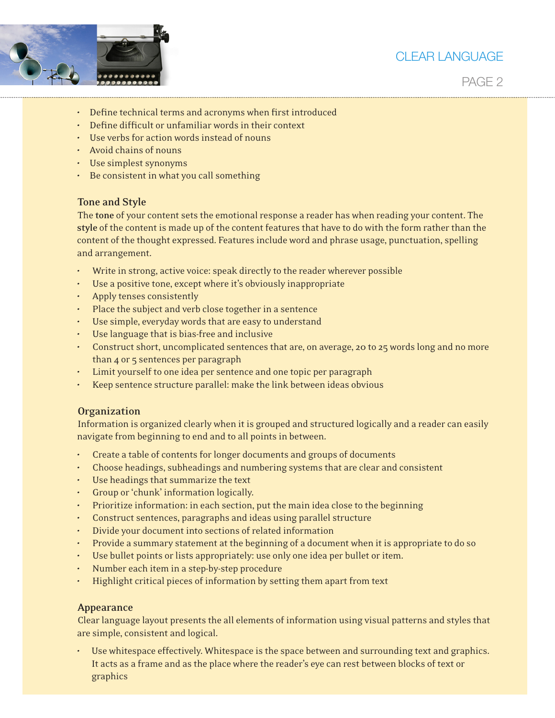

## PAGE 2

- Define technical terms and acronyms when first introduced
- Define difficult or unfamiliar words in their context
- Use verbs for action words instead of nouns
- Avoid chains of nouns
- Use simplest synonyms
- Be consistent in what you call something

## **Tone and Style**

The **tone** of your content sets the emotional response a reader has when reading your content. The **style** of the content is made up of the content features that have to do with the form rather than the content of the thought expressed. Features include word and phrase usage, punctuation, spelling and arrangement.

- Write in strong, active voice: speak directly to the reader wherever possible
- Use a positive tone, except where it's obviously inappropriate
- Apply tenses consistently
- Place the subject and verb close together in a sentence
- Use simple, everyday words that are easy to understand
- Use language that is bias-free and inclusive
- Construct short, uncomplicated sentences that are, on average, 20 to 25 words long and no more than 4 or 5 sentences per paragraph
- Limit yourself to one idea per sentence and one topic per paragraph
- Keep sentence structure parallel: make the link between ideas obvious

## **Organization**

Information is organized clearly when it is grouped and structured logically and a reader can easily navigate from beginning to end and to all points in between.

- Create a table of contents for longer documents and groups of documents
- Choose headings, subheadings and numbering systems that are clear and consistent
- Use headings that summarize the text
- Group or 'chunk' information logically.
- Prioritize information: in each section, put the main idea close to the beginning
- Construct sentences, paragraphs and ideas using parallel structure
- Divide your document into sections of related information
- Provide a summary statement at the beginning of a document when it is appropriate to do so
- Use bullet points or lists appropriately: use only one idea per bullet or item.
- Number each item in a step-by-step procedure
- Highlight critical pieces of information by setting them apart from text

## **Appearance**

Clear language layout presents the all elements of information using visual patterns and styles that are simple, consistent and logical.

• Use whitespace effectively. Whitespace is the space between and surrounding text and graphics. It acts as a frame and as the place where the reader's eye can rest between blocks of text or graphics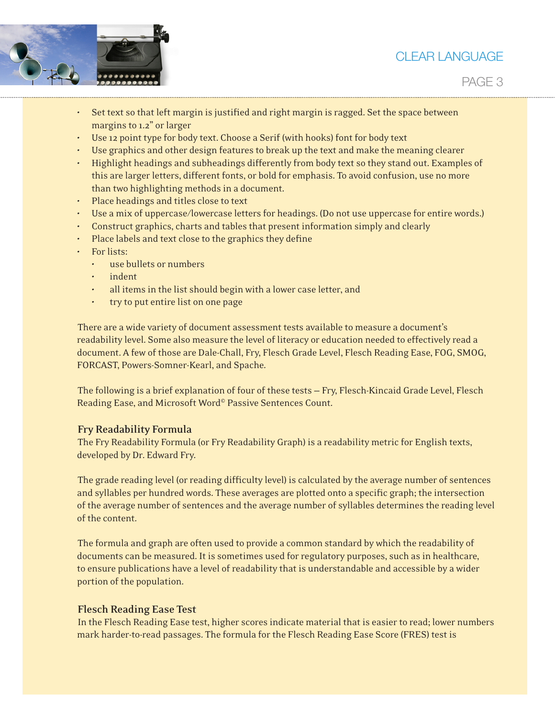

- Set text so that left margin is justified and right margin is ragged. Set the space between margins to 1.2" or larger
- Use 12 point type for body text. Choose a Serif (with hooks) font for body text
- Use graphics and other design features to break up the text and make the meaning clearer
- Highlight headings and subheadings differently from body text so they stand out. Examples of this are larger letters, different fonts, or bold for emphasis. To avoid confusion, use no more than two highlighting methods in a document.
- Place headings and titles close to text
- Use a mix of uppercase/lowercase letters for headings. (Do not use uppercase for entire words.)
- Construct graphics, charts and tables that present information simply and clearly
- Place labels and text close to the graphics they define
- For lists:
	- use bullets or numbers
	- indent
	- all items in the list should begin with a lower case letter, and
	- try to put entire list on one page

There are a wide variety of document assessment tests available to measure a document's readability level. Some also measure the level of literacy or education needed to effectively read a document. A few of those are Dale-Chall, Fry, Flesch Grade Level, Flesch Reading Ease, FOG, SMOG, FORCAST, Powers-Somner-Kearl, and Spache.

The following is a brief explanation of four of these tests — Fry, Flesch-Kincaid Grade Level, Flesch Reading Ease, and Microsoft Word© Passive Sentences Count.

## **Fry Readability Formula**

The Fry Readability Formula (or Fry Readability Graph) is a readability metric for English texts, developed by Dr. Edward Fry.

The grade reading level (or reading difficulty level) is calculated by the average number of sentences and syllables per hundred words. These averages are plotted onto a specific graph; the intersection of the average number of sentences and the average number of syllables determines the reading level of the content.

The formula and graph are often used to provide a common standard by which the readability of documents can be measured. It is sometimes used for regulatory purposes, such as in healthcare, to ensure publications have a level of readability that is understandable and accessible by a wider portion of the population.

## **Flesch Reading Ease Test**

In the Flesch Reading Ease test, higher scores indicate material that is easier to read; lower numbers mark harder-to-read passages. The formula for the Flesch Reading Ease Score (FRES) test is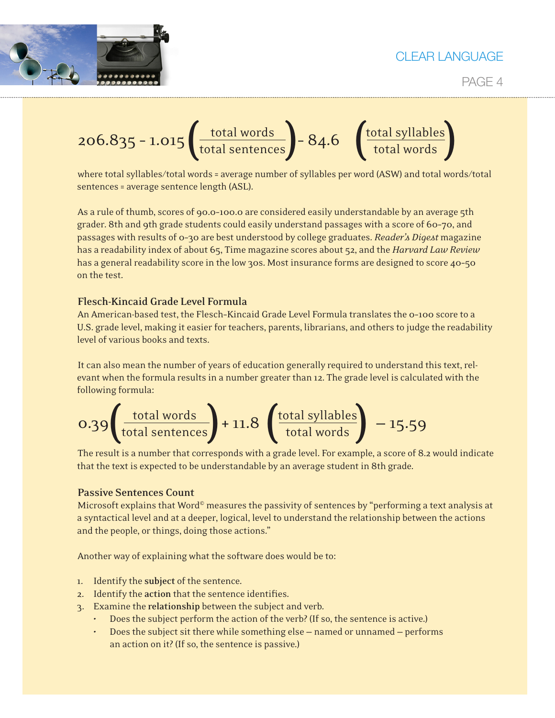

PAGE 4



where total syllables/total words = average number of syllables per word (ASW) and total words/total sentences = average sentence length (ASL).

As a rule of thumb, scores of 90.0–100.0 are considered easily understandable by an average 5th grader. 8th and 9th grade students could easily understand passages with a score of 60–70, and passages with results of 0–30 are best understood by college graduates. *Reader's Digest* magazine has a readability index of about 65, Time magazine scores about 52, and the *Harvard Law Review* has a general readability score in the low 30s. Most insurance forms are designed to score 40-50 on the test.

## **Flesch-Kincaid Grade Level Formula**

An American-based test, the Flesch–Kincaid Grade Level Formula translates the 0–100 score to a U.S. grade level, making it easier for teachers, parents, librarians, and others to judge the readability level of various books and texts.

It can also mean the number of years of education generally required to understand this text, relevant when the formula results in a number greater than 12. The grade level is calculated with the following formula:

$$
0.39 \left(\frac{\text{total words}}{\text{total sentences}}\right) + 11.8 \left(\frac{\text{total syllables}}{\text{total words}}\right) - 15.59
$$

The result is a number that corresponds with a grade level. For example, a score of 8.2 would indicate that the text is expected to be understandable by an average student in 8th grade.

## **Passive Sentences Count**

Microsoft explains that Word<sup>®</sup> measures the passivity of sentences by "performing a text analysis at a syntactical level and at a deeper, logical, level to understand the relationship between the actions and the people, or things, doing those actions."

Another way of explaining what the software does would be to:

- 1. Identify the **subject** of the sentence.
- 2. Identify the **action** that the sentence identifies.
- 3. Examine the **relationship** between the subject and verb.
	- Does the subject perform the action of the verb? (If so, the sentence is active.)
	- Does the subject sit there while something else named or unnamed performs an action on it? (If so, the sentence is passive.)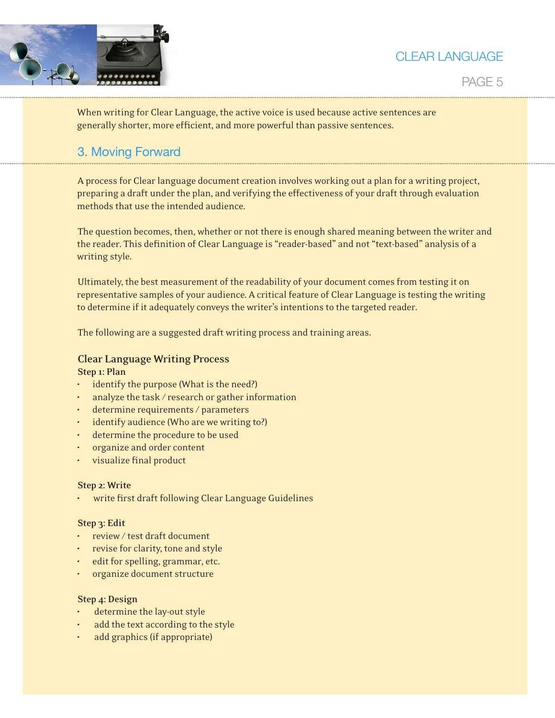

## PAGE 5

When writing for Clear Language, the active voice is used because active sentences are generally shorter, more efficient, and more powerful than passive sentences.

## 3. Moving Forward

A process for Clear language document creation involves working out a plan for a writing project, preparing a draft under the plan, and verifying the effectiveness of your draft through evaluation methods that use the intended audience.

The question becomes, then, whether or not there is enough shared meaning between the writer and the reader. This definition of Clear Language is "reader-based" and not "text-based" analysis of a writing style.

Ultimately, the best measurement of the readability of your document comes from testing it on representative samples of your audience. A critical feature of Clear Language is testing the writing to determine if it adequately conveys the writer's intentions to the targeted reader.

The following are a suggested draft writing process and training areas.

## **Clear Language Writing Process**

## **Step 1: Plan**

- identify the purpose (What is the need?)
- analyze the task / research or gather information
- determine requirements / parameters
- identify audience (Who are we writing to?)
- determine the procedure to be used
- organize and order content
- visualize final product

## **Step 2: Write**

• write first draft following Clear Language Guidelines

## **Step 3: Edit**

- review / test draft document
- revise for clarity, tone and style
- edit for spelling, grammar, etc.
- organize document structure

#### **Step 4: Design**

- determine the lay-out style
- add the text according to the style
- add graphics (if appropriate)